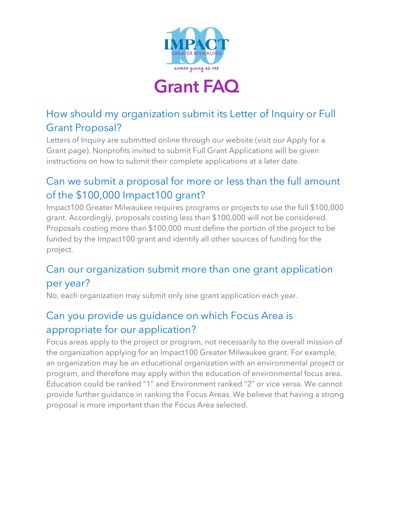

# **Grant FAQ**

#### How should my organization submit its Letter of Inquiry or Full Grant Proposal?

Letters of Inquiry are submitted online through our website (visit our Apply for a Grant page). Nonprofits invited to submit Full Grant Applications will be given instructions on how to submit their complete applications at a later date.

#### Can we submit a proposal for more or less than the full amount of the \$100,000 Impact100 grant?

Impact100 Greater Milwaukee requires programs or projects to use the full \$100,000 grant. Accordingly, proposals costing less than \$100,000 will not be considered. Proposals costing more than \$100,000 must define the portion of the project to be funded by the Impact100 grant and identify all other sources of funding for the project.

#### Can our organization submit more than one grant application per year?

No, each organization may submit only one grant application each year.

#### Can you provide us guidance on which Focus Area is appropriate for our application?

Focus areas apply to the project or program, not necessarily to the overall mission of the organization applying for an Impact100 Greater Milwaukee grant. For example, an organization may be an educational organization with an environmental project or program, and therefore may apply within the education of environmental focus area. Education could be ranked "1" and Environment ranked "2" or vice versa. We cannot provide further guidance in ranking the Focus Areas. We believe that having a strong proposal is more important than the Focus Area selected.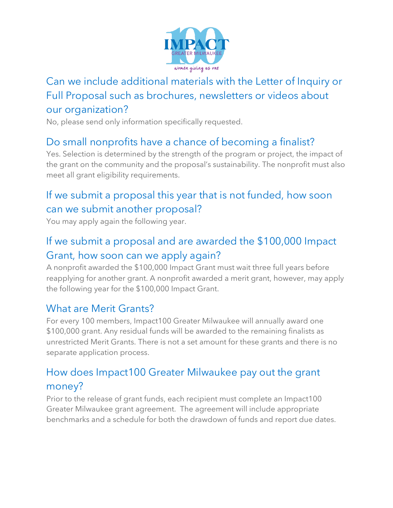

## Can we include additional materials with the Letter of Inquiry or Full Proposal such as brochures, newsletters or videos about our organization?

No, please send only information specifically requested.

## Do small nonprofits have a chance of becoming a finalist?

Yes. Selection is determined by the strength of the program or project, the impact of the grant on the community and the proposal's sustainability. The nonprofit must also meet all grant eligibility requirements.

## If we submit a proposal this year that is not funded, how soon can we submit another proposal?

You may apply again the following year.

## If we submit a proposal and are awarded the \$100,000 Impact Grant, how soon can we apply again?

A nonprofit awarded the \$100,000 Impact Grant must wait three full years before reapplying for another grant. A nonprofit awarded a merit grant, however, may apply the following year for the \$100,000 Impact Grant.

#### What are Merit Grants?

For every 100 members, Impact100 Greater Milwaukee will annually award one \$100,000 grant. Any residual funds will be awarded to the remaining finalists as unrestricted Merit Grants. There is not a set amount for these grants and there is no separate application process.

# How does Impact100 Greater Milwaukee pay out the grant money?

Prior to the release of grant funds, each recipient must complete an Impact100 Greater Milwaukee grant agreement. The agreement will include appropriate benchmarks and a schedule for both the drawdown of funds and report due dates.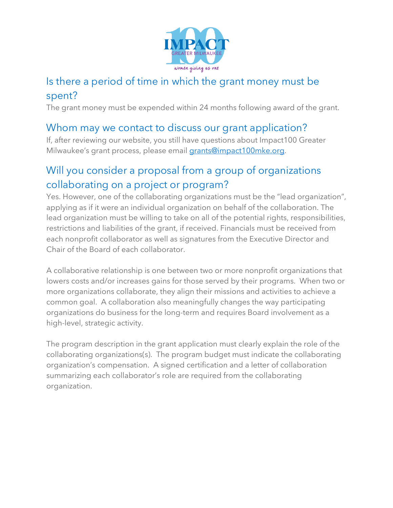

#### Is there a period of time in which the grant money must be spent?

The grant money must be expended within 24 months following award of the grant.

#### Whom may we contact to discuss our grant application?

If, after reviewing our website, you still have questions about Impact100 Greater Milwaukee's grant process, please email grants@impact100mke.org.

#### Will you consider a proposal from a group of organizations collaborating on a project or program?

Yes. However, one of the collaborating organizations must be the "lead organization", applying as if it were an individual organization on behalf of the collaboration. The lead organization must be willing to take on all of the potential rights, responsibilities, restrictions and liabilities of the grant, if received. Financials must be received from each nonprofit collaborator as well as signatures from the Executive Director and Chair of the Board of each collaborator.

A collaborative relationship is one between two or more nonprofit organizations that lowers costs and/or increases gains for those served by their programs. When two or more organizations collaborate, they align their missions and activities to achieve a common goal. A collaboration also meaningfully changes the way participating organizations do business for the long-term and requires Board involvement as a high-level, strategic activity.

The program description in the grant application must clearly explain the role of the collaborating organizations(s). The program budget must indicate the collaborating organization's compensation. A signed certification and a letter of collaboration summarizing each collaborator's role are required from the collaborating organization.